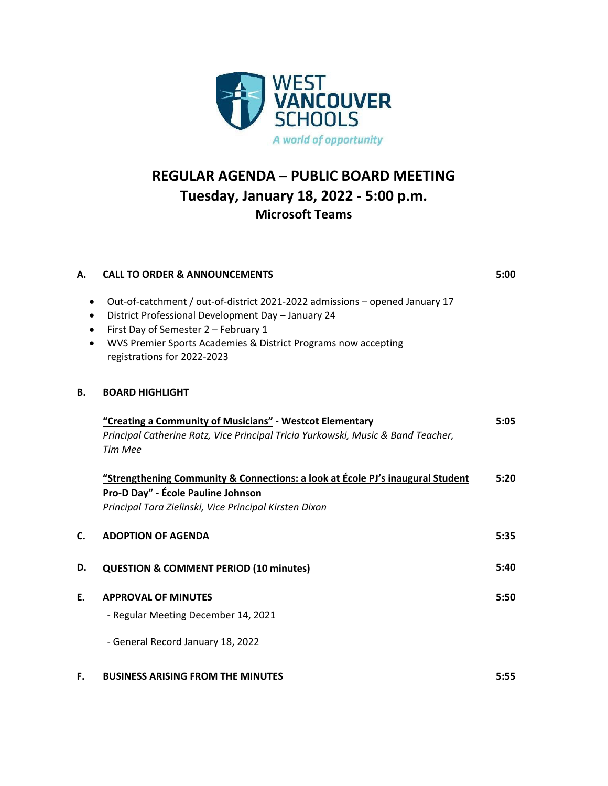

## **REGULAR AGENDA – PUBLIC BOARD MEETING Tuesday, January 18, 2022 ‐ 5:00 p.m. Microsoft Teams**

| Α.        | <b>CALL TO ORDER &amp; ANNOUNCEMENTS</b>                                                                                                                                                                                                                                   | 5:00 |
|-----------|----------------------------------------------------------------------------------------------------------------------------------------------------------------------------------------------------------------------------------------------------------------------------|------|
| $\bullet$ | Out-of-catchment / out-of-district 2021-2022 admissions - opened January 17<br>District Professional Development Day - January 24<br>First Day of Semester 2 - February 1<br>WVS Premier Sports Academies & District Programs now accepting<br>registrations for 2022-2023 |      |
| В.        | <b>BOARD HIGHLIGHT</b>                                                                                                                                                                                                                                                     |      |
|           | "Creating a Community of Musicians" - Westcot Elementary<br>Principal Catherine Ratz, Vice Principal Tricia Yurkowski, Music & Band Teacher,<br><b>Tim Mee</b>                                                                                                             | 5:05 |
|           | "Strengthening Community & Connections: a look at École PJ's inaugural Student<br>Pro-D Day" - École Pauline Johnson<br>Principal Tara Zielinski, Vice Principal Kirsten Dixon                                                                                             | 5:20 |
| C.        | <b>ADOPTION OF AGENDA</b>                                                                                                                                                                                                                                                  | 5:35 |
| D.        | <b>QUESTION &amp; COMMENT PERIOD (10 minutes)</b>                                                                                                                                                                                                                          | 5:40 |
| E.        | <b>APPROVAL OF MINUTES</b><br>- Regular Meeting December 14, 2021<br>- General Record January 18, 2022                                                                                                                                                                     | 5:50 |
| F.        | <b>BUSINESS ARISING FROM THE MINUTES</b>                                                                                                                                                                                                                                   | 5:55 |